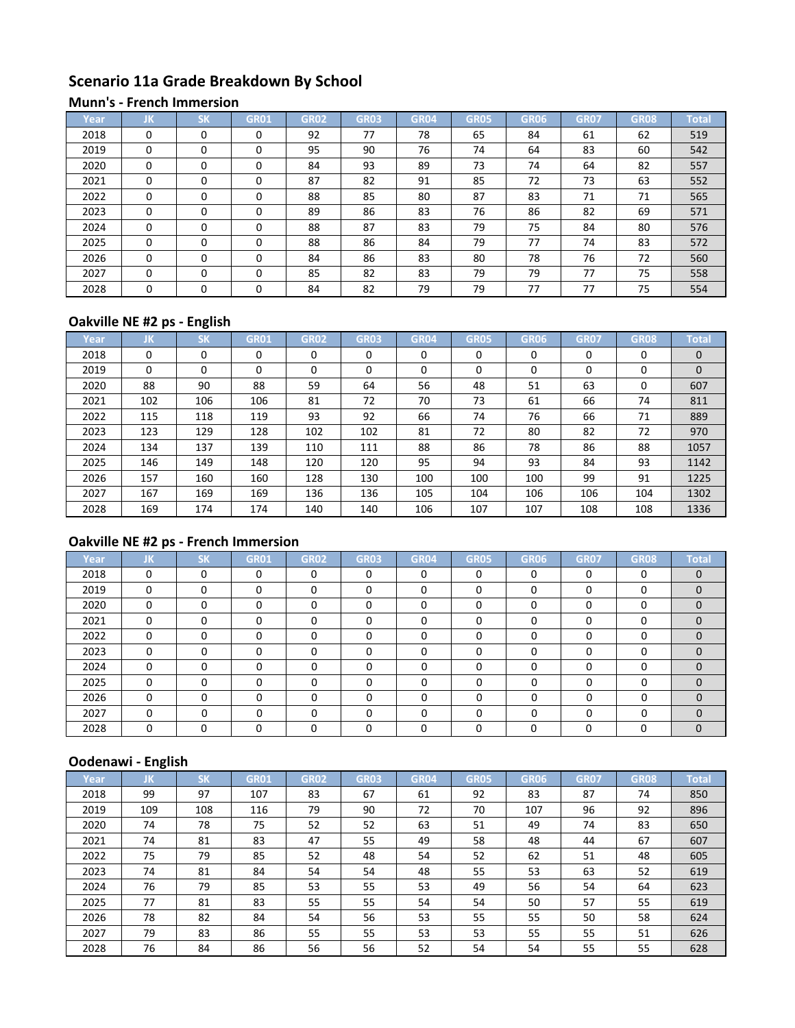# **Scenario 11a Grade Breakdown By School**

#### **Munn's - French Immersion**

| Year | JK       | <b>SK</b> | GR01     | <b>GR02</b> | <b>GR03</b> | <b>GR04</b> | <b>GR05</b> | GR06 | <b>GR07</b> | <b>GR08</b> | <b>Total</b> |
|------|----------|-----------|----------|-------------|-------------|-------------|-------------|------|-------------|-------------|--------------|
| 2018 | $\Omega$ | $\Omega$  | 0        | 92          | 77          | 78          | 65          | 84   | 61          | 62          | 519          |
| 2019 | $\Omega$ | $\Omega$  | $\Omega$ | 95          | 90          | 76          | 74          | 64   | 83          | 60          | 542          |
| 2020 | $\Omega$ | $\Omega$  | 0        | 84          | 93          | 89          | 73          | 74   | 64          | 82          | 557          |
| 2021 | $\Omega$ | $\Omega$  | 0        | 87          | 82          | 91          | 85          | 72   | 73          | 63          | 552          |
| 2022 | $\Omega$ | $\Omega$  | $\Omega$ | 88          | 85          | 80          | 87          | 83   | 71          | 71          | 565          |
| 2023 | $\Omega$ | $\Omega$  | 0        | 89          | 86          | 83          | 76          | 86   | 82          | 69          | 571          |
| 2024 | $\Omega$ | $\Omega$  | 0        | 88          | 87          | 83          | 79          | 75   | 84          | 80          | 576          |
| 2025 | $\Omega$ | $\Omega$  | $\Omega$ | 88          | 86          | 84          | 79          | 77   | 74          | 83          | 572          |
| 2026 | $\Omega$ | $\Omega$  | $\Omega$ | 84          | 86          | 83          | 80          | 78   | 76          | 72          | 560          |
| 2027 | $\Omega$ | $\Omega$  | 0        | 85          | 82          | 83          | 79          | 79   | 77          | 75          | 558          |
| 2028 | $\Omega$ | $\Omega$  | $\Omega$ | 84          | 82          | 79          | 79          | 77   | 77          | 75          | 554          |

## **Oakville NE #2 ps - English**

| Year | IJΚ      | <b>SK</b> | <b>GR01</b> | <b>GR02</b> | <b>GR03</b> | <b>GR04</b> | <b>GR05</b> | GR06 | <b>GR07</b> | <b>GR08</b> | <b>Total</b> |
|------|----------|-----------|-------------|-------------|-------------|-------------|-------------|------|-------------|-------------|--------------|
| 2018 | $\Omega$ | 0         |             | 0           | 0           | 0           | $\Omega$    | 0    | 0           | 0           | $\mathbf{0}$ |
| 2019 | $\Omega$ | 0         | 0           | 0           | $\Omega$    | $\Omega$    | $\Omega$    |      | 0           | 0           | $\mathbf{0}$ |
| 2020 | 88       | 90        | 88          | 59          | 64          | 56          | 48          | 51   | 63          | 0           | 607          |
| 2021 | 102      | 106       | 106         | 81          | 72          | 70          | 73          | 61   | 66          | 74          | 811          |
| 2022 | 115      | 118       | 119         | 93          | 92          | 66          | 74          | 76   | 66          | 71          | 889          |
| 2023 | 123      | 129       | 128         | 102         | 102         | 81          | 72          | 80   | 82          | 72          | 970          |
| 2024 | 134      | 137       | 139         | 110         | 111         | 88          | 86          | 78   | 86          | 88          | 1057         |
| 2025 | 146      | 149       | 148         | 120         | 120         | 95          | 94          | 93   | 84          | 93          | 1142         |
| 2026 | 157      | 160       | 160         | 128         | 130         | 100         | 100         | 100  | 99          | 91          | 1225         |
| 2027 | 167      | 169       | 169         | 136         | 136         | 105         | 104         | 106  | 106         | 104         | 1302         |
| 2028 | 169      | 174       | 174         | 140         | 140         | 106         | 107         | 107  | 108         | 108         | 1336         |

## **Oakville NE #2 ps - French Immersion**

| Year | JK       | <b>SK</b> | <b>GR01</b> | <b>GR02</b> | <b>GR03</b> | <b>GR04</b> | <b>GR05</b> | <b>GR06</b> | <b>GR07</b> | <b>GR08</b> | <b>Total</b> |
|------|----------|-----------|-------------|-------------|-------------|-------------|-------------|-------------|-------------|-------------|--------------|
| 2018 | 0        | 0         | $\Omega$    | $\Omega$    | $\Omega$    | $\Omega$    | $\Omega$    | $\Omega$    | $\Omega$    | $\Omega$    | $\Omega$     |
| 2019 | 0        | 0         | 0           | 0           | O           | 0           | $\Omega$    | 0           | 0           | 0           | $\Omega$     |
| 2020 | 0        | 0         | 0           | 0           | 0           | $\Omega$    | 0           | 0           | 0           | $\Omega$    | $\Omega$     |
| 2021 | 0        | 0         | 0           | 0           | $\Omega$    | $\Omega$    | $\Omega$    | O           | $\Omega$    | $\Omega$    | $\Omega$     |
| 2022 | $\Omega$ | 0         | 0           | O           | U           | $\Omega$    | n           | O           | $\Omega$    | $\Omega$    | $\Omega$     |
| 2023 | $\Omega$ | $\Omega$  | $\Omega$    | O           | n           | O           | n           | $\Omega$    | $\Omega$    | $\Omega$    | $\Omega$     |
| 2024 | $\Omega$ | $\Omega$  | $\Omega$    | U           | ∩           | O           | n           | O           | $\Omega$    | $\Omega$    | $\Omega$     |
| 2025 | $\Omega$ | 0         | $\Omega$    | 0           | $\Omega$    | $\Omega$    | n           | O           | $\Omega$    | $\Omega$    | $\Omega$     |
| 2026 | 0        | 0         |             | 0           | 0           | 0           | C           | ∩           | 0           | 0           | $\Omega$     |
| 2027 | U        | 0         | 0           | U           | 0           | 0           |             | O           | $\Omega$    | $\Omega$    | $\Omega$     |
| 2028 | 0        | 0         |             |             | U           | 0           |             | 0           | $\Omega$    | 0           | $\Omega$     |

|      | -   |           |             |             |             |             |             |      |             |             |              |
|------|-----|-----------|-------------|-------------|-------------|-------------|-------------|------|-------------|-------------|--------------|
| Year | IJΚ | <b>SK</b> | <b>GR01</b> | <b>GR02</b> | <b>GR03</b> | <b>GR04</b> | <b>GR05</b> | GR06 | <b>GR07</b> | <b>GR08</b> | <b>Total</b> |
| 2018 | 99  | 97        | 107         | 83          | 67          | 61          | 92          | 83   | 87          | 74          | 850          |
| 2019 | 109 | 108       | 116         | 79          | 90          | 72          | 70          | 107  | 96          | 92          | 896          |
| 2020 | 74  | 78        | 75          | 52          | 52          | 63          | 51          | 49   | 74          | 83          | 650          |
| 2021 | 74  | 81        | 83          | 47          | 55          | 49          | 58          | 48   | 44          | 67          | 607          |
| 2022 | 75  | 79        | 85          | 52          | 48          | 54          | 52          | 62   | 51          | 48          | 605          |
| 2023 | 74  | 81        | 84          | 54          | 54          | 48          | 55          | 53   | 63          | 52          | 619          |
| 2024 | 76  | 79        | 85          | 53          | 55          | 53          | 49          | 56   | 54          | 64          | 623          |
| 2025 | 77  | 81        | 83          | 55          | 55          | 54          | 54          | 50   | 57          | 55          | 619          |
| 2026 | 78  | 82        | 84          | 54          | 56          | 53          | 55          | 55   | 50          | 58          | 624          |
| 2027 | 79  | 83        | 86          | 55          | 55          | 53          | 53          | 55   | 55          | 51          | 626          |
| 2028 | 76  | 84        | 86          | 56          | 56          | 52          | 54          | 54   | 55          | 55          | 628          |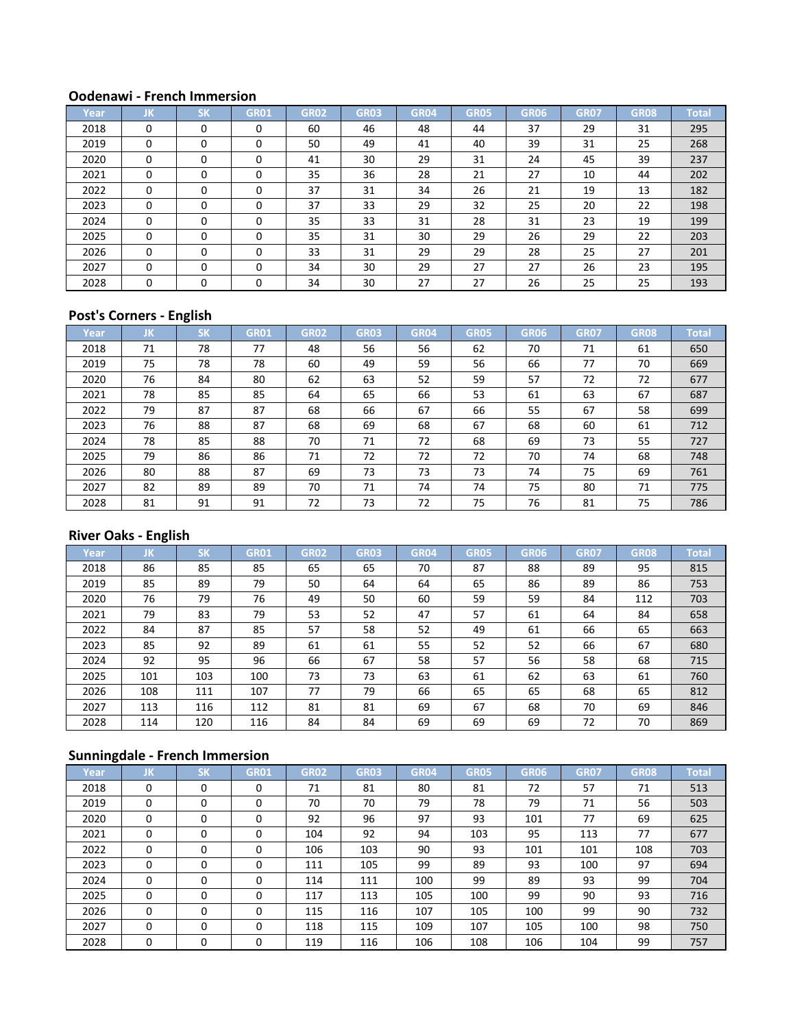| Year | JK       | <b>CM</b><br>וכ | <b>GR01</b> | <b>GR02</b> | <b>GR03</b> | <b>GR04</b> | <b>GR05</b> | GR06 | <b>GR07</b> | <b>GR08</b> | <b>Total</b> |
|------|----------|-----------------|-------------|-------------|-------------|-------------|-------------|------|-------------|-------------|--------------|
| 2018 | 0        | $\Omega$        |             | 60          | 46          | 48          | 44          | 37   | 29          | 31          | 295          |
| 2019 | $\Omega$ | $\Omega$        |             | 50          | 49          | 41          | 40          | 39   | 31          | 25          | 268          |
| 2020 | $\Omega$ | $\Omega$        |             | 41          | 30          | 29          | 31          | 24   | 45          | 39          | 237          |
| 2021 | $\Omega$ | $\Omega$        |             | 35          | 36          | 28          | 21          | 27   | 10          | 44          | 202          |
| 2022 | $\Omega$ | $\Omega$        |             | 37          | 31          | 34          | 26          | 21   | 19          | 13          | 182          |
| 2023 | $\Omega$ | $\Omega$        | 0           | 37          | 33          | 29          | 32          | 25   | 20          | 22          | 198          |
| 2024 | $\Omega$ | $\Omega$        | 0           | 35          | 33          | 31          | 28          | 31   | 23          | 19          | 199          |
| 2025 | 0        | $\Omega$        | $\Omega$    | 35          | 31          | 30          | 29          | 26   | 29          | 22          | 203          |
| 2026 | 0        | $\Omega$        | 0           | 33          | 31          | 29          | 29          | 28   | 25          | 27          | 201          |
| 2027 | $\Omega$ | $\Omega$        | $\Omega$    | 34          | 30          | 29          | 27          | 27   | 26          | 23          | 195          |
| 2028 | $\Omega$ | $\Omega$        |             | 34          | 30          | 27          | 27          | 26   | 25          | 25          | 193          |

## **Post's Corners - English**

| Year | JK | <b>SK</b> | <b>GR01</b> | GR02 | <b>GR03</b> | GR04 | <b>GR05</b> | GR06 | <b>GR07</b> | <b>GR08</b> | <b>Total</b> |
|------|----|-----------|-------------|------|-------------|------|-------------|------|-------------|-------------|--------------|
| 2018 | 71 | 78        | 77          | 48   | 56          | 56   | 62          | 70   | 71          | 61          | 650          |
| 2019 | 75 | 78        | 78          | 60   | 49          | 59   | 56          | 66   | 77          | 70          | 669          |
| 2020 | 76 | 84        | 80          | 62   | 63          | 52   | 59          | 57   | 72          | 72          | 677          |
| 2021 | 78 | 85        | 85          | 64   | 65          | 66   | 53          | 61   | 63          | 67          | 687          |
| 2022 | 79 | 87        | 87          | 68   | 66          | 67   | 66          | 55   | 67          | 58          | 699          |
| 2023 | 76 | 88        | 87          | 68   | 69          | 68   | 67          | 68   | 60          | 61          | 712          |
| 2024 | 78 | 85        | 88          | 70   | 71          | 72   | 68          | 69   | 73          | 55          | 727          |
| 2025 | 79 | 86        | 86          | 71   | 72          | 72   | 72          | 70   | 74          | 68          | 748          |
| 2026 | 80 | 88        | 87          | 69   | 73          | 73   | 73          | 74   | 75          | 69          | 761          |
| 2027 | 82 | 89        | 89          | 70   | 71          | 74   | 74          | 75   | 80          | 71          | 775          |
| 2028 | 81 | 91        | 91          | 72   | 73          | 72   | 75          | 76   | 81          | 75          | 786          |

## **River Oaks - English**

| Year | JK  | <b>SK</b> | <b>GR01</b> | <b>GR02</b> | <b>GR03</b> | <b>GR04</b> | <b>GR05</b> | GR06 | <b>GR07</b> | <b>GR08</b> | <b>Total</b> |
|------|-----|-----------|-------------|-------------|-------------|-------------|-------------|------|-------------|-------------|--------------|
| 2018 | 86  | 85        | 85          | 65          | 65          | 70          | 87          | 88   | 89          | 95          | 815          |
| 2019 | 85  | 89        | 79          | 50          | 64          | 64          | 65          | 86   | 89          | 86          | 753          |
| 2020 | 76  | 79        | 76          | 49          | 50          | 60          | 59          | 59   | 84          | 112         | 703          |
| 2021 | 79  | 83        | 79          | 53          | 52          | 47          | 57          | 61   | 64          | 84          | 658          |
| 2022 | 84  | 87        | 85          | 57          | 58          | 52          | 49          | 61   | 66          | 65          | 663          |
| 2023 | 85  | 92        | 89          | 61          | 61          | 55          | 52          | 52   | 66          | 67          | 680          |
| 2024 | 92  | 95        | 96          | 66          | 67          | 58          | 57          | 56   | 58          | 68          | 715          |
| 2025 | 101 | 103       | 100         | 73          | 73          | 63          | 61          | 62   | 63          | 61          | 760          |
| 2026 | 108 | 111       | 107         | 77          | 79          | 66          | 65          | 65   | 68          | 65          | 812          |
| 2027 | 113 | 116       | 112         | 81          | 81          | 69          | 67          | 68   | 70          | 69          | 846          |
| 2028 | 114 | 120       | 116         | 84          | 84          | 69          | 69          | 69   | 72          | 70          | 869          |

| Year | IJΚ      | <b>SK</b> | <b>GR01</b> | <b>GR02</b> | <b>GR03</b> | <b>GR04</b> | <b>GR05</b> | GR06 | <b>GR07</b> | <b>GR08</b> | <b>Total</b> |
|------|----------|-----------|-------------|-------------|-------------|-------------|-------------|------|-------------|-------------|--------------|
| 2018 | $\Omega$ | $\Omega$  | 0           | 71          | 81          | 80          | 81          | 72   | 57          | 71          | 513          |
| 2019 | 0        | 0         | 0           | 70          | 70          | 79          | 78          | 79   | 71          | 56          | 503          |
| 2020 | $\Omega$ | 0         | 0           | 92          | 96          | 97          | 93          | 101  | 77          | 69          | 625          |
| 2021 | $\Omega$ | $\Omega$  | $\Omega$    | 104         | 92          | 94          | 103         | 95   | 113         | 77          | 677          |
| 2022 | $\Omega$ | $\Omega$  | 0           | 106         | 103         | 90          | 93          | 101  | 101         | 108         | 703          |
| 2023 | $\Omega$ | $\Omega$  |             | 111         | 105         | 99          | 89          | 93   | 100         | 97          | 694          |
| 2024 | $\Omega$ | $\Omega$  | $\Omega$    | 114         | 111         | 100         | 99          | 89   | 93          | 99          | 704          |
| 2025 | $\Omega$ | $\Omega$  | $\Omega$    | 117         | 113         | 105         | 100         | 99   | 90          | 93          | 716          |
| 2026 | $\Omega$ | $\Omega$  | 0           | 115         | 116         | 107         | 105         | 100  | 99          | 90          | 732          |
| 2027 | $\Omega$ | $\Omega$  | 0           | 118         | 115         | 109         | 107         | 105  | 100         | 98          | 750          |
| 2028 | $\Omega$ | 0         |             | 119         | 116         | 106         | 108         | 106  | 104         | 99          | 757          |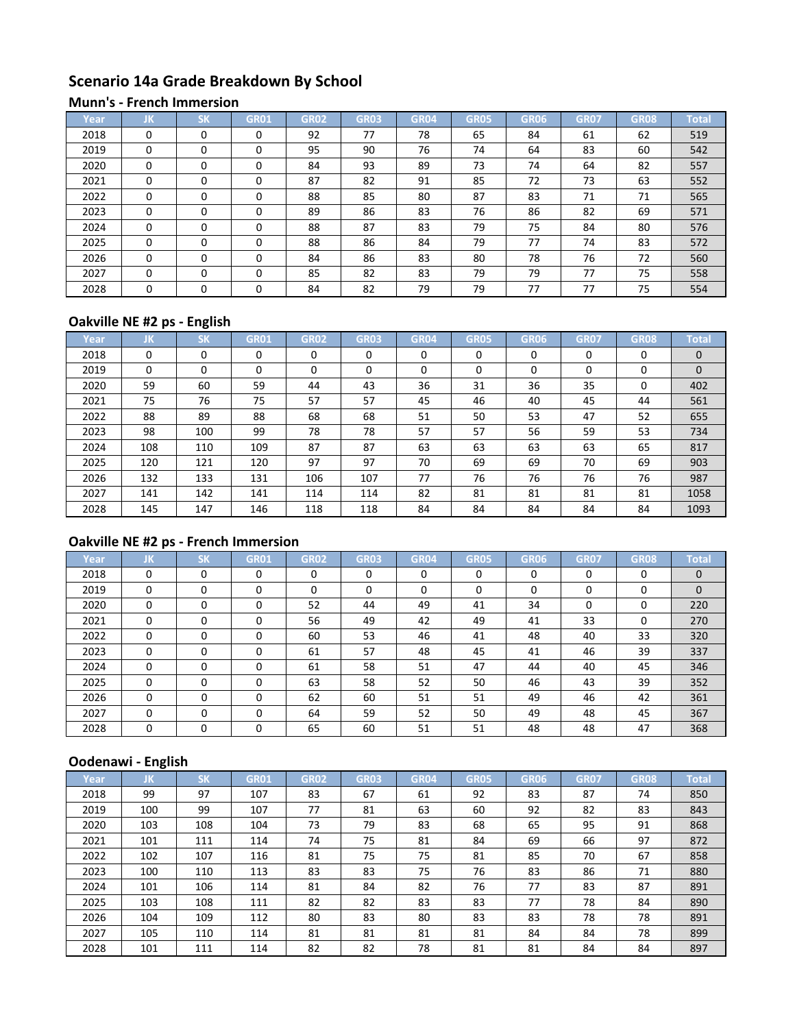# **Scenario 14a Grade Breakdown By School**

#### **Munn's - French Immersion**

| Year | JK       | <b>SK</b> | GR01     | <b>GR02</b> | <b>GR03</b> | <b>GR04</b> | <b>GR05</b> | <b>GR06</b> | <b>GR07</b> | <b>GR08</b> | <b>Total</b> |
|------|----------|-----------|----------|-------------|-------------|-------------|-------------|-------------|-------------|-------------|--------------|
| 2018 | $\Omega$ | $\Omega$  | 0        | 92          | 77          | 78          | 65          | 84          | 61          | 62          | 519          |
| 2019 | $\Omega$ | $\Omega$  | 0        | 95          | 90          | 76          | 74          | 64          | 83          | 60          | 542          |
| 2020 | $\Omega$ | $\Omega$  | 0        | 84          | 93          | 89          | 73          | 74          | 64          | 82          | 557          |
| 2021 | $\Omega$ | $\Omega$  | 0        | 87          | 82          | 91          | 85          | 72          | 73          | 63          | 552          |
| 2022 | $\Omega$ | $\Omega$  | $\Omega$ | 88          | 85          | 80          | 87          | 83          | 71          | 71          | 565          |
| 2023 | $\Omega$ | $\Omega$  | 0        | 89          | 86          | 83          | 76          | 86          | 82          | 69          | 571          |
| 2024 | $\Omega$ | $\Omega$  | $\Omega$ | 88          | 87          | 83          | 79          | 75          | 84          | 80          | 576          |
| 2025 | $\Omega$ | $\Omega$  | $\Omega$ | 88          | 86          | 84          | 79          | 77          | 74          | 83          | 572          |
| 2026 | $\Omega$ | $\Omega$  | $\Omega$ | 84          | 86          | 83          | 80          | 78          | 76          | 72          | 560          |
| 2027 | $\Omega$ | $\Omega$  | $\Omega$ | 85          | 82          | 83          | 79          | 79          | 77          | 75          | 558          |
| 2028 | $\Omega$ | $\Omega$  | 0        | 84          | 82          | 79          | 79          | 77          | 77          | 75          | 554          |

## **Oakville NE #2 ps - English**

| Year | JK       | <b>SK</b> | <b>GR01</b> | <b>GR02</b> | <b>GR03</b> | <b>GR04</b> | <b>GR05</b> | GR06 | <b>GR07</b> | <b>GR08</b> | <b>Total</b> |
|------|----------|-----------|-------------|-------------|-------------|-------------|-------------|------|-------------|-------------|--------------|
| 2018 | $\Omega$ | $\Omega$  | 0           | 0           | $\Omega$    | 0           | $\Omega$    | 0    | 0           | 0           | $\Omega$     |
| 2019 | 0        | 0         | 0           | 0           | 0           | 0           | $\Omega$    | 0    | 0           | 0           | $\mathbf{0}$ |
| 2020 | 59       | 60        | 59          | 44          | 43          | 36          | 31          | 36   | 35          | 0           | 402          |
| 2021 | 75       | 76        | 75          | 57          | 57          | 45          | 46          | 40   | 45          | 44          | 561          |
| 2022 | 88       | 89        | 88          | 68          | 68          | 51          | 50          | 53   | 47          | 52          | 655          |
| 2023 | 98       | 100       | 99          | 78          | 78          | 57          | 57          | 56   | 59          | 53          | 734          |
| 2024 | 108      | 110       | 109         | 87          | 87          | 63          | 63          | 63   | 63          | 65          | 817          |
| 2025 | 120      | 121       | 120         | 97          | 97          | 70          | 69          | 69   | 70          | 69          | 903          |
| 2026 | 132      | 133       | 131         | 106         | 107         | 77          | 76          | 76   | 76          | 76          | 987          |
| 2027 | 141      | 142       | 141         | 114         | 114         | 82          | 81          | 81   | 81          | 81          | 1058         |
| 2028 | 145      | 147       | 146         | 118         | 118         | 84          | 84          | 84   | 84          | 84          | 1093         |

## **Oakville NE #2 ps - French Immersion**

| Year | JK       | <b>SK</b> | <b>GR01</b> | GR02 | <b>GR03</b> | <b>GR04</b> | <b>GR05</b> | GR06 | <b>GR07</b> | <b>GR08</b> | <b>Total</b> |
|------|----------|-----------|-------------|------|-------------|-------------|-------------|------|-------------|-------------|--------------|
| 2018 | 0        | $\Omega$  | $\Omega$    | 0    | 0           | $\Omega$    | $\Omega$    | 0    | $\Omega$    | $\Omega$    | $\mathbf{0}$ |
| 2019 | 0        | 0         | 0           | 0    | 0           | 0           | $\Omega$    | 0    | 0           | 0           | $\Omega$     |
| 2020 | $\Omega$ | $\Omega$  | $\Omega$    | 52   | 44          | 49          | 41          | 34   | $\Omega$    | $\Omega$    | 220          |
| 2021 | $\Omega$ | 0         | O           | 56   | 49          | 42          | 49          | 41   | 33          | 0           | 270          |
| 2022 | 0        | 0         | O           | 60   | 53          | 46          | 41          | 48   | 40          | 33          | 320          |
| 2023 | $\Omega$ | $\Omega$  | 0           | 61   | 57          | 48          | 45          | 41   | 46          | 39          | 337          |
| 2024 | $\Omega$ | $\Omega$  | $\Omega$    | 61   | 58          | 51          | 47          | 44   | 40          | 45          | 346          |
| 2025 | $\Omega$ | $\Omega$  | $\Omega$    | 63   | 58          | 52          | 50          | 46   | 43          | 39          | 352          |
| 2026 | $\Omega$ | 0         | 0           | 62   | 60          | 51          | 51          | 49   | 46          | 42          | 361          |
| 2027 | $\Omega$ | $\Omega$  | $\Omega$    | 64   | 59          | 52          | 50          | 49   | 48          | 45          | 367          |
| 2028 | $\Omega$ | 0         | $\Omega$    | 65   | 60          | 51          | 51          | 48   | 48          | 47          | 368          |

| Year | ΠK. | <b>SK</b> | GR01 | <b>GR02</b> | <b>GR03</b> | GR04 | <b>GR05</b> | <b>GR06</b> | <b>GR07</b> | <b>GR08</b> | <b>Total</b> |
|------|-----|-----------|------|-------------|-------------|------|-------------|-------------|-------------|-------------|--------------|
| 2018 | 99  | 97        | 107  | 83          | 67          | 61   | 92          | 83          | 87          | 74          | 850          |
| 2019 | 100 | 99        | 107  | 77          | 81          | 63   | 60          | 92          | 82          | 83          | 843          |
| 2020 | 103 | 108       | 104  | 73          | 79          | 83   | 68          | 65          | 95          | 91          | 868          |
| 2021 | 101 | 111       | 114  | 74          | 75          | 81   | 84          | 69          | 66          | 97          | 872          |
| 2022 | 102 | 107       | 116  | 81          | 75          | 75   | 81          | 85          | 70          | 67          | 858          |
| 2023 | 100 | 110       | 113  | 83          | 83          | 75   | 76          | 83          | 86          | 71          | 880          |
| 2024 | 101 | 106       | 114  | 81          | 84          | 82   | 76          | 77          | 83          | 87          | 891          |
| 2025 | 103 | 108       | 111  | 82          | 82          | 83   | 83          | 77          | 78          | 84          | 890          |
| 2026 | 104 | 109       | 112  | 80          | 83          | 80   | 83          | 83          | 78          | 78          | 891          |
| 2027 | 105 | 110       | 114  | 81          | 81          | 81   | 81          | 84          | 84          | 78          | 899          |
| 2028 | 101 | 111       | 114  | 82          | 82          | 78   | 81          | 81          | 84          | 84          | 897          |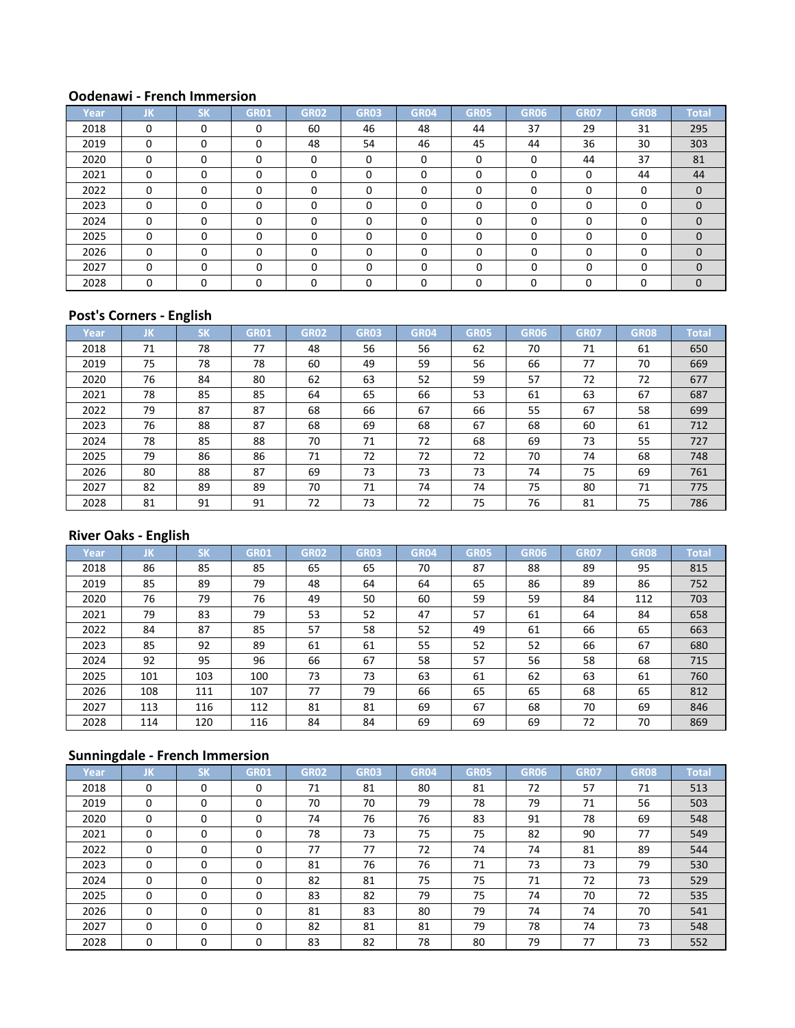| Year | IJΚ      | <b>SK</b> | <b>GR01</b> | <b>GR02</b> | <b>GR03</b> | <b>GR04</b> | <b>GR05</b> | <b>GR06</b> | <b>GR07</b> | <b>GR08</b> | <b>Total</b> |
|------|----------|-----------|-------------|-------------|-------------|-------------|-------------|-------------|-------------|-------------|--------------|
| 2018 | $\Omega$ | 0         | O           | 60          | 46          | 48          | 44          | 37          | 29          | 31          | 295          |
| 2019 | $\Omega$ | 0         | $\Omega$    | 48          | 54          | 46          | 45          | 44          | 36          | 30          | 303          |
| 2020 | $\Omega$ | 0         | $\Omega$    | $\Omega$    | $\Omega$    | $\Omega$    | $\Omega$    | ∩           | 44          | 37          | 81           |
| 2021 | $\Omega$ | 0         | $\Omega$    | 0           | $\Omega$    | $\Omega$    | $\Omega$    |             | 0           | 44          | 44           |
| 2022 | $\Omega$ | 0         | 0           | 0           | $\Omega$    | 0           | $\Omega$    | $\Omega$    | 0           | $\Omega$    | $\mathbf{0}$ |
| 2023 | $\Omega$ | 0         | $\Omega$    | 0           | $\Omega$    | 0           | $\Omega$    | ∩           | 0           | 0           | $\mathbf{0}$ |
| 2024 | $\Omega$ | 0         | O           | 0           | $\Omega$    | 0           | $\Omega$    | O           | 0           | 0           | $\mathbf{0}$ |
| 2025 | $\Omega$ | 0         | O           | 0           | $\Omega$    | $\Omega$    | $\Omega$    | U           | 0           | 0           | $\Omega$     |
| 2026 | $\Omega$ | 0         |             | 0           | $\Omega$    | $\Omega$    | $\Omega$    |             | O           | 0           | $\Omega$     |
| 2027 | $\Omega$ | 0         |             | 0           | $\Omega$    | $\Omega$    | $\Omega$    |             | 0           | $\Omega$    | $\Omega$     |
| 2028 | $\Omega$ | U         | $\Omega$    | U           | $\Omega$    | n           | U           |             | U           | U           | $\Omega$     |

## **Post's Corners - English**

| Year | JΚ. | <b>SK</b> | <b>GR01</b> | GR02 | <b>GR03</b> | GR04 | <b>GR05</b> | GR06 | <b>GR07</b> | <b>GR08</b> | <b>Total</b> |
|------|-----|-----------|-------------|------|-------------|------|-------------|------|-------------|-------------|--------------|
| 2018 | 71  | 78        | 77          | 48   | 56          | 56   | 62          | 70   | 71          | 61          | 650          |
| 2019 | 75  | 78        | 78          | 60   | 49          | 59   | 56          | 66   | 77          | 70          | 669          |
| 2020 | 76  | 84        | 80          | 62   | 63          | 52   | 59          | 57   | 72          | 72          | 677          |
| 2021 | 78  | 85        | 85          | 64   | 65          | 66   | 53          | 61   | 63          | 67          | 687          |
| 2022 | 79  | 87        | 87          | 68   | 66          | 67   | 66          | 55   | 67          | 58          | 699          |
| 2023 | 76  | 88        | 87          | 68   | 69          | 68   | 67          | 68   | 60          | 61          | 712          |
| 2024 | 78  | 85        | 88          | 70   | 71          | 72   | 68          | 69   | 73          | 55          | 727          |
| 2025 | 79  | 86        | 86          | 71   | 72          | 72   | 72          | 70   | 74          | 68          | 748          |
| 2026 | 80  | 88        | 87          | 69   | 73          | 73   | 73          | 74   | 75          | 69          | 761          |
| 2027 | 82  | 89        | 89          | 70   | 71          | 74   | 74          | 75   | 80          | 71          | 775          |
| 2028 | 81  | 91        | 91          | 72   | 73          | 72   | 75          | 76   | 81          | 75          | 786          |

## **River Oaks - English**

| Year | JK  | <b>SK</b> | <b>GR01</b> | <b>GR02</b> | <b>GR03</b> | <b>GR04</b> | <b>GR05</b> | <b>GR06</b> | <b>GR07</b> | <b>GR08</b> | <b>Total</b> |
|------|-----|-----------|-------------|-------------|-------------|-------------|-------------|-------------|-------------|-------------|--------------|
| 2018 | 86  | 85        | 85          | 65          | 65          | 70          | 87          | 88          | 89          | 95          | 815          |
| 2019 | 85  | 89        | 79          | 48          | 64          | 64          | 65          | 86          | 89          | 86          | 752          |
| 2020 | 76  | 79        | 76          | 49          | 50          | 60          | 59          | 59          | 84          | 112         | 703          |
| 2021 | 79  | 83        | 79          | 53          | 52          | 47          | 57          | 61          | 64          | 84          | 658          |
| 2022 | 84  | 87        | 85          | 57          | 58          | 52          | 49          | 61          | 66          | 65          | 663          |
| 2023 | 85  | 92        | 89          | 61          | 61          | 55          | 52          | 52          | 66          | 67          | 680          |
| 2024 | 92  | 95        | 96          | 66          | 67          | 58          | 57          | 56          | 58          | 68          | 715          |
| 2025 | 101 | 103       | 100         | 73          | 73          | 63          | 61          | 62          | 63          | 61          | 760          |
| 2026 | 108 | 111       | 107         | 77          | 79          | 66          | 65          | 65          | 68          | 65          | 812          |
| 2027 | 113 | 116       | 112         | 81          | 81          | 69          | 67          | 68          | 70          | 69          | 846          |
| 2028 | 114 | 120       | 116         | 84          | 84          | 69          | 69          | 69          | 72          | 70          | 869          |

| Year | IJΚ      | <b>SK</b> | <b>GR01</b> | <b>GR02</b> | <b>GR03</b> | <b>GR04</b> | <b>GR05</b> | <b>GR06</b> | <b>GR07</b> | <b>GR08</b> | <b>Total</b> |
|------|----------|-----------|-------------|-------------|-------------|-------------|-------------|-------------|-------------|-------------|--------------|
| 2018 | 0        | 0         | 0           | 71          | 81          | 80          | 81          | 72          | 57          | 71          | 513          |
| 2019 | $\Omega$ | $\Omega$  | 0           | 70          | 70          | 79          | 78          | 79          | 71          | 56          | 503          |
| 2020 | $\Omega$ | $\Omega$  | 0           | 74          | 76          | 76          | 83          | 91          | 78          | 69          | 548          |
| 2021 | $\Omega$ | $\Omega$  | $\Omega$    | 78          | 73          | 75          | 75          | 82          | 90          | 77          | 549          |
| 2022 | $\Omega$ | $\Omega$  | $\Omega$    | 77          | 77          | 72          | 74          | 74          | 81          | 89          | 544          |
| 2023 | $\Omega$ | $\Omega$  | $\Omega$    | 81          | 76          | 76          | 71          | 73          | 73          | 79          | 530          |
| 2024 | $\Omega$ | $\Omega$  | 0           | 82          | 81          | 75          | 75          | 71          | 72          | 73          | 529          |
| 2025 | $\Omega$ | $\Omega$  | $\Omega$    | 83          | 82          | 79          | 75          | 74          | 70          | 72          | 535          |
| 2026 | $\Omega$ | $\Omega$  | $\Omega$    | 81          | 83          | 80          | 79          | 74          | 74          | 70          | 541          |
| 2027 | $\Omega$ | $\Omega$  | $\Omega$    | 82          | 81          | 81          | 79          | 78          | 74          | 73          | 548          |
| 2028 | 0        | 0         | 0           | 83          | 82          | 78          | 80          | 79          | 77          | 73          | 552          |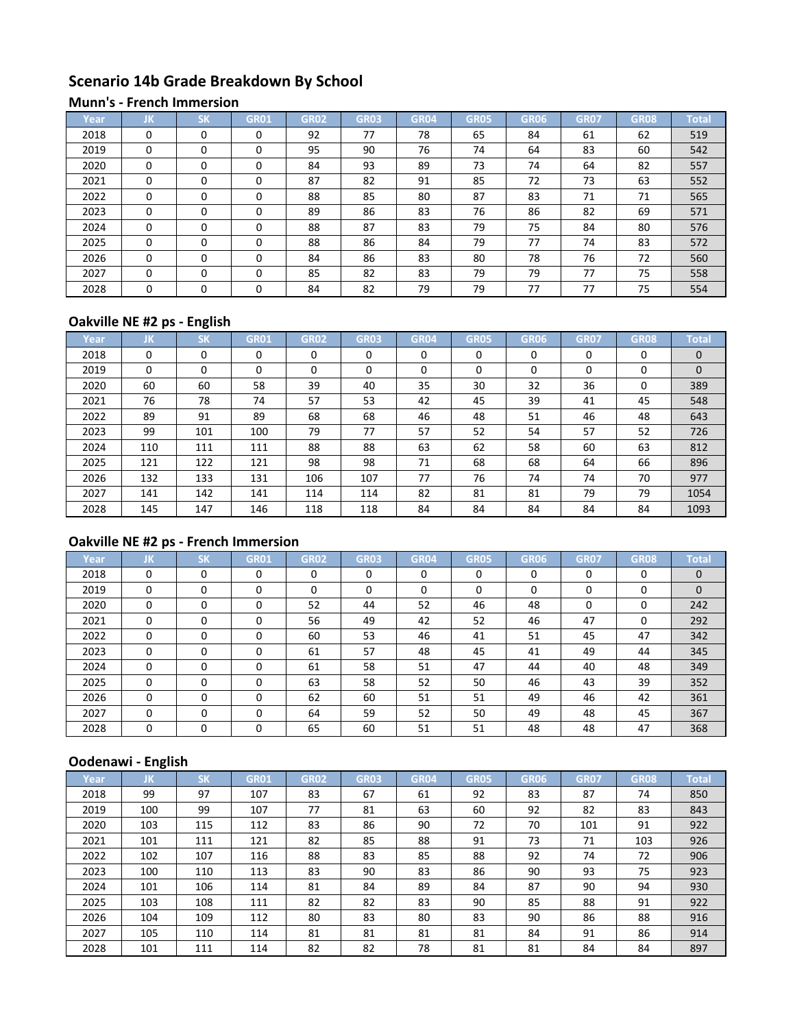# **Scenario 14b Grade Breakdown By School**

#### **Munn's - French Immersion**

| Year | JK       | <b>SK</b> | GR01     | <b>GR02</b> | <b>GR03</b> | <b>GR04</b> | <b>GR05</b> | <b>GR06</b> | <b>GR07</b> | <b>GR08</b> | <b>Total</b> |
|------|----------|-----------|----------|-------------|-------------|-------------|-------------|-------------|-------------|-------------|--------------|
| 2018 | $\Omega$ | $\Omega$  | 0        | 92          | 77          | 78          | 65          | 84          | 61          | 62          | 519          |
| 2019 | $\Omega$ | $\Omega$  | 0        | 95          | 90          | 76          | 74          | 64          | 83          | 60          | 542          |
| 2020 | $\Omega$ | $\Omega$  | 0        | 84          | 93          | 89          | 73          | 74          | 64          | 82          | 557          |
| 2021 | $\Omega$ | $\Omega$  | 0        | 87          | 82          | 91          | 85          | 72          | 73          | 63          | 552          |
| 2022 | $\Omega$ | $\Omega$  | $\Omega$ | 88          | 85          | 80          | 87          | 83          | 71          | 71          | 565          |
| 2023 | $\Omega$ | $\Omega$  | 0        | 89          | 86          | 83          | 76          | 86          | 82          | 69          | 571          |
| 2024 | $\Omega$ | $\Omega$  | $\Omega$ | 88          | 87          | 83          | 79          | 75          | 84          | 80          | 576          |
| 2025 | $\Omega$ | $\Omega$  | $\Omega$ | 88          | 86          | 84          | 79          | 77          | 74          | 83          | 572          |
| 2026 | $\Omega$ | $\Omega$  | $\Omega$ | 84          | 86          | 83          | 80          | 78          | 76          | 72          | 560          |
| 2027 | $\Omega$ | $\Omega$  | $\Omega$ | 85          | 82          | 83          | 79          | 79          | 77          | 75          | 558          |
| 2028 | $\Omega$ | $\Omega$  | 0        | 84          | 82          | 79          | 79          | 77          | 77          | 75          | 554          |

## **Oakville NE #2 ps - English**

| Year | IJΚ. | <b>SK</b> | <b>GR01</b> | <b>GR02</b> | <b>GR03</b> | GR04 | <b>GR05</b> | GR06 | <b>GR07</b> | <b>GR08</b> | Total        |
|------|------|-----------|-------------|-------------|-------------|------|-------------|------|-------------|-------------|--------------|
| 2018 | 0    | 0         | 0           | 0           | $\Omega$    | 0    | $\Omega$    | 0    | 0           | 0           | $\mathbf{0}$ |
| 2019 | 0    | 0         | 0           | 0           | 0           | 0    | 0           | 0    | 0           | 0           | $\mathbf 0$  |
| 2020 | 60   | 60        | 58          | 39          | 40          | 35   | 30          | 32   | 36          | 0           | 389          |
| 2021 | 76   | 78        | 74          | 57          | 53          | 42   | 45          | 39   | 41          | 45          | 548          |
| 2022 | 89   | 91        | 89          | 68          | 68          | 46   | 48          | 51   | 46          | 48          | 643          |
| 2023 | 99   | 101       | 100         | 79          | 77          | 57   | 52          | 54   | 57          | 52          | 726          |
| 2024 | 110  | 111       | 111         | 88          | 88          | 63   | 62          | 58   | 60          | 63          | 812          |
| 2025 | 121  | 122       | 121         | 98          | 98          | 71   | 68          | 68   | 64          | 66          | 896          |
| 2026 | 132  | 133       | 131         | 106         | 107         | 77   | 76          | 74   | 74          | 70          | 977          |
| 2027 | 141  | 142       | 141         | 114         | 114         | 82   | 81          | 81   | 79          | 79          | 1054         |
| 2028 | 145  | 147       | 146         | 118         | 118         | 84   | 84          | 84   | 84          | 84          | 1093         |

## **Oakville NE #2 ps - French Immersion**

| Year | JK       | <b>SK</b> | <b>GR01</b> | GR02 | <b>GR03</b> | <b>GR04</b> | <b>GR05</b> | GR06 | <b>GR07</b> | <b>GR08</b> | <b>Total</b> |
|------|----------|-----------|-------------|------|-------------|-------------|-------------|------|-------------|-------------|--------------|
| 2018 | 0        | $\Omega$  | $\Omega$    | 0    | 0           | $\Omega$    | $\Omega$    | 0    | $\Omega$    | $\Omega$    | $\mathbf{0}$ |
| 2019 | 0        | 0         | 0           | 0    | 0           | $\Omega$    | $\Omega$    | 0    | 0           | 0           | $\Omega$     |
| 2020 | $\Omega$ | $\Omega$  | $\Omega$    | 52   | 44          | 52          | 46          | 48   | $\Omega$    | $\Omega$    | 242          |
| 2021 | $\Omega$ | 0         | O           | 56   | 49          | 42          | 52          | 46   | 47          | 0           | 292          |
| 2022 | 0        | 0         | O           | 60   | 53          | 46          | 41          | 51   | 45          | 47          | 342          |
| 2023 | $\Omega$ | $\Omega$  | 0           | 61   | 57          | 48          | 45          | 41   | 49          | 44          | 345          |
| 2024 | $\Omega$ | $\Omega$  | $\Omega$    | 61   | 58          | 51          | 47          | 44   | 40          | 48          | 349          |
| 2025 | $\Omega$ | $\Omega$  | $\Omega$    | 63   | 58          | 52          | 50          | 46   | 43          | 39          | 352          |
| 2026 | $\Omega$ | 0         | 0           | 62   | 60          | 51          | 51          | 49   | 46          | 42          | 361          |
| 2027 | $\Omega$ | $\Omega$  | $\Omega$    | 64   | 59          | 52          | 50          | 49   | 48          | 45          | 367          |
| 2028 | $\Omega$ | 0         | $\Omega$    | 65   | 60          | 51          | 51          | 48   | 48          | 47          | 368          |

| Year | JΚ  | <b>SK</b> | <b>GR01</b> | <b>GR02</b> | <b>GR03</b> | <b>GR04</b> | <b>GR05</b> | <b>GR06</b> | <b>GR07</b> | <b>GR08</b> | <b>Total</b> |
|------|-----|-----------|-------------|-------------|-------------|-------------|-------------|-------------|-------------|-------------|--------------|
| 2018 | 99  | 97        | 107         | 83          | 67          | 61          | 92          | 83          | 87          | 74          | 850          |
| 2019 | 100 | 99        | 107         | 77          | 81          | 63          | 60          | 92          | 82          | 83          | 843          |
| 2020 | 103 | 115       | 112         | 83          | 86          | 90          | 72          | 70          | 101         | 91          | 922          |
| 2021 | 101 | 111       | 121         | 82          | 85          | 88          | 91          | 73          | 71          | 103         | 926          |
| 2022 | 102 | 107       | 116         | 88          | 83          | 85          | 88          | 92          | 74          | 72          | 906          |
| 2023 | 100 | 110       | 113         | 83          | 90          | 83          | 86          | 90          | 93          | 75          | 923          |
| 2024 | 101 | 106       | 114         | 81          | 84          | 89          | 84          | 87          | 90          | 94          | 930          |
| 2025 | 103 | 108       | 111         | 82          | 82          | 83          | 90          | 85          | 88          | 91          | 922          |
| 2026 | 104 | 109       | 112         | 80          | 83          | 80          | 83          | 90          | 86          | 88          | 916          |
| 2027 | 105 | 110       | 114         | 81          | 81          | 81          | 81          | 84          | 91          | 86          | 914          |
| 2028 | 101 | 111       | 114         | 82          | 82          | 78          | 81          | 81          | 84          | 84          | 897          |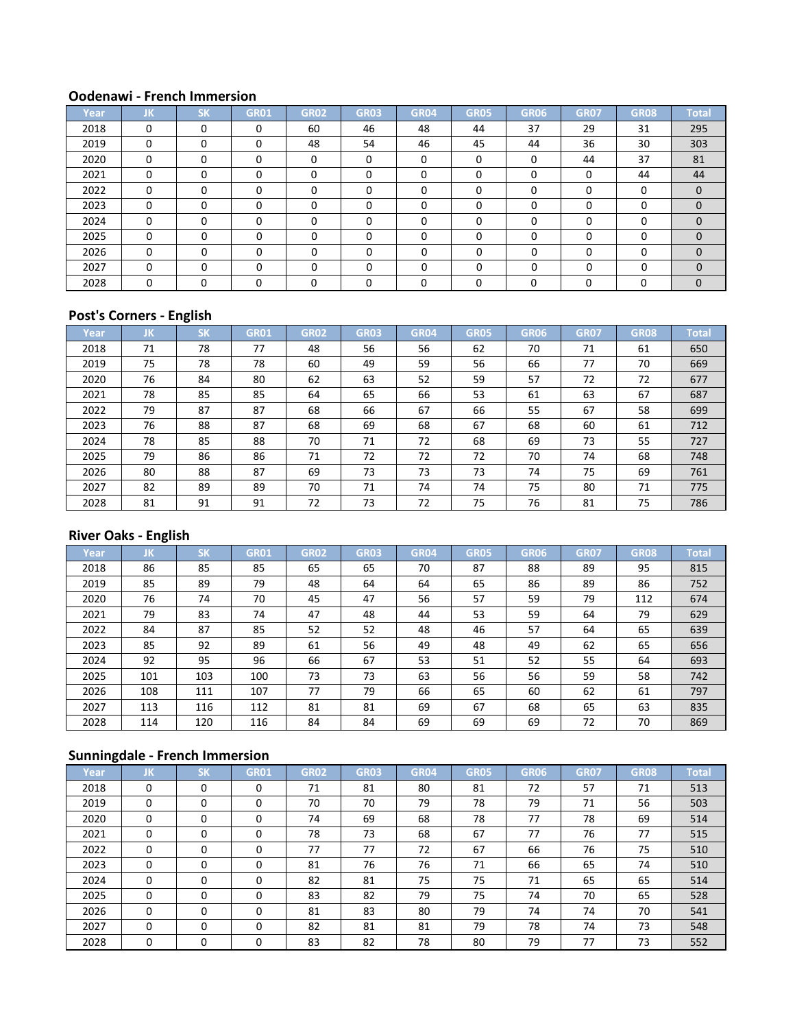| Year, | JK.      | <b>SK</b> | <b>GR01</b> | <b>GR02</b> | <b>GR03</b> | <b>GR04</b> | <b>GR05</b> | GR06     | <b>GR07</b> | <b>GR08</b> | <b>Total</b> |
|-------|----------|-----------|-------------|-------------|-------------|-------------|-------------|----------|-------------|-------------|--------------|
| 2018  | 0        | $\Omega$  | 0           | 60          | 46          | 48          | 44          | 37       | 29          | 31          | 295          |
| 2019  | 0        | 0         | 0           | 48          | 54          | 46          | 45          | 44       | 36          | 30          | 303          |
| 2020  | 0        | $\Omega$  |             | 0           | 0           | 0           | $\Omega$    | 0        | 44          | 37          | 81           |
| 2021  | $\Omega$ | $\Omega$  | $\Omega$    | $\Omega$    | $\Omega$    | $\Omega$    | $\Omega$    |          | 0           | 44          | 44           |
| 2022  | $\Omega$ | $\Omega$  | $\Omega$    | 0           | $\Omega$    | $\Omega$    | $\Omega$    | $\Omega$ | 0           | $\Omega$    | $\mathbf 0$  |
| 2023  | $\Omega$ | $\Omega$  | 0           | 0           | $\Omega$    | $\Omega$    | $\Omega$    |          | 0           | $\Omega$    | $\mathbf 0$  |
| 2024  | 0        | $\Omega$  | $\Omega$    | 0           | $\Omega$    | $\Omega$    | $\Omega$    |          | O           | $\Omega$    | $\mathbf 0$  |
| 2025  | 0        | $\Omega$  | 0           | 0           | $\Omega$    | $\Omega$    | $\Omega$    | ŋ        | $\Omega$    | $\Omega$    | $\Omega$     |
| 2026  | $\Omega$ | $\Omega$  | 0           | U           | $\Omega$    | $\Omega$    | $\Omega$    |          | O           | 0           | $\Omega$     |
| 2027  | $\Omega$ | $\Omega$  | $\Omega$    | 0           | $\Omega$    | $\Omega$    | $\Omega$    |          | $\Omega$    | $\Omega$    | $\Omega$     |
| 2028  | $\Omega$ | O         |             | n           |             | $\Omega$    | O           |          | U           | U           | $\Omega$     |

## **Post's Corners - English**

| Year | IJΚ. | <b>SK</b> | <b>GR01</b> | GR <sub>02</sub> | <b>GR03</b> | GR04 | <b>GR05</b> | GR06 | <b>GR07</b> | <b>GR08</b> | <b>Total</b> |
|------|------|-----------|-------------|------------------|-------------|------|-------------|------|-------------|-------------|--------------|
| 2018 | 71   | 78        | 77          | 48               | 56          | 56   | 62          | 70   | 71          | 61          | 650          |
| 2019 | 75   | 78        | 78          | 60               | 49          | 59   | 56          | 66   | 77          | 70          | 669          |
| 2020 | 76   | 84        | 80          | 62               | 63          | 52   | 59          | 57   | 72          | 72          | 677          |
| 2021 | 78   | 85        | 85          | 64               | 65          | 66   | 53          | 61   | 63          | 67          | 687          |
| 2022 | 79   | 87        | 87          | 68               | 66          | 67   | 66          | 55   | 67          | 58          | 699          |
| 2023 | 76   | 88        | 87          | 68               | 69          | 68   | 67          | 68   | 60          | 61          | 712          |
| 2024 | 78   | 85        | 88          | 70               | 71          | 72   | 68          | 69   | 73          | 55          | 727          |
| 2025 | 79   | 86        | 86          | 71               | 72          | 72   | 72          | 70   | 74          | 68          | 748          |
| 2026 | 80   | 88        | 87          | 69               | 73          | 73   | 73          | 74   | 75          | 69          | 761          |
| 2027 | 82   | 89        | 89          | 70               | 71          | 74   | 74          | 75   | 80          | 71          | 775          |
| 2028 | 81   | 91        | 91          | 72               | 73          | 72   | 75          | 76   | 81          | 75          | 786          |

## **River Oaks - English**

| Year | JΚ. | <b>SK</b> | <b>GR01</b> | <b>GR02</b> | <b>GR03</b> | <b>GR04</b> | <b>GR05</b> | GR06 | <b>GR07</b> | <b>GR08</b> | <b>Total</b> |
|------|-----|-----------|-------------|-------------|-------------|-------------|-------------|------|-------------|-------------|--------------|
| 2018 | 86  | 85        | 85          | 65          | 65          | 70          | 87          | 88   | 89          | 95          | 815          |
| 2019 | 85  | 89        | 79          | 48          | 64          | 64          | 65          | 86   | 89          | 86          | 752          |
| 2020 | 76  | 74        | 70          | 45          | 47          | 56          | 57          | 59   | 79          | 112         | 674          |
| 2021 | 79  | 83        | 74          | 47          | 48          | 44          | 53          | 59   | 64          | 79          | 629          |
| 2022 | 84  | 87        | 85          | 52          | 52          | 48          | 46          | 57   | 64          | 65          | 639          |
| 2023 | 85  | 92        | 89          | 61          | 56          | 49          | 48          | 49   | 62          | 65          | 656          |
| 2024 | 92  | 95        | 96          | 66          | 67          | 53          | 51          | 52   | 55          | 64          | 693          |
| 2025 | 101 | 103       | 100         | 73          | 73          | 63          | 56          | 56   | 59          | 58          | 742          |
| 2026 | 108 | 111       | 107         | 77          | 79          | 66          | 65          | 60   | 62          | 61          | 797          |
| 2027 | 113 | 116       | 112         | 81          | 81          | 69          | 67          | 68   | 65          | 63          | 835          |
| 2028 | 114 | 120       | 116         | 84          | 84          | 69          | 69          | 69   | 72          | 70          | 869          |

| Year/ | IJΚ      | <b>SK</b> | <b>GR01</b> | <b>GR02</b> | <b>GR03</b> | <b>GR04</b> | <b>GR05</b> | GR06 | <b>GR07</b> | <b>GR08</b> | <b>Total</b> |
|-------|----------|-----------|-------------|-------------|-------------|-------------|-------------|------|-------------|-------------|--------------|
| 2018  | $\Omega$ | $\Omega$  | $\Omega$    | 71          | 81          | 80          | 81          | 72   | 57          | 71          | 513          |
| 2019  | 0        | 0         | 0           | 70          | 70          | 79          | 78          | 79   | 71          | 56          | 503          |
| 2020  | 0        | 0         | 0           | 74          | 69          | 68          | 78          | 77   | 78          | 69          | 514          |
| 2021  | 0        | $\Omega$  | $\Omega$    | 78          | 73          | 68          | 67          | 77   | 76          | 77          | 515          |
| 2022  | 0        | 0         | 0           | 77          | 77          | 72          | 67          | 66   | 76          | 75          | 510          |
| 2023  | $\Omega$ | 0         | 0           | 81          | 76          | 76          | 71          | 66   | 65          | 74          | 510          |
| 2024  | $\Omega$ | $\Omega$  | 0           | 82          | 81          | 75          | 75          | 71   | 65          | 65          | 514          |
| 2025  | $\Omega$ | $\Omega$  | $\Omega$    | 83          | 82          | 79          | 75          | 74   | 70          | 65          | 528          |
| 2026  | $\Omega$ | 0         | 0           | 81          | 83          | 80          | 79          | 74   | 74          | 70          | 541          |
| 2027  | $\Omega$ | $\Omega$  | $\Omega$    | 82          | 81          | 81          | 79          | 78   | 74          | 73          | 548          |
| 2028  | 0        | 0         | 0           | 83          | 82          | 78          | 80          | 79   | 77          | 73          | 552          |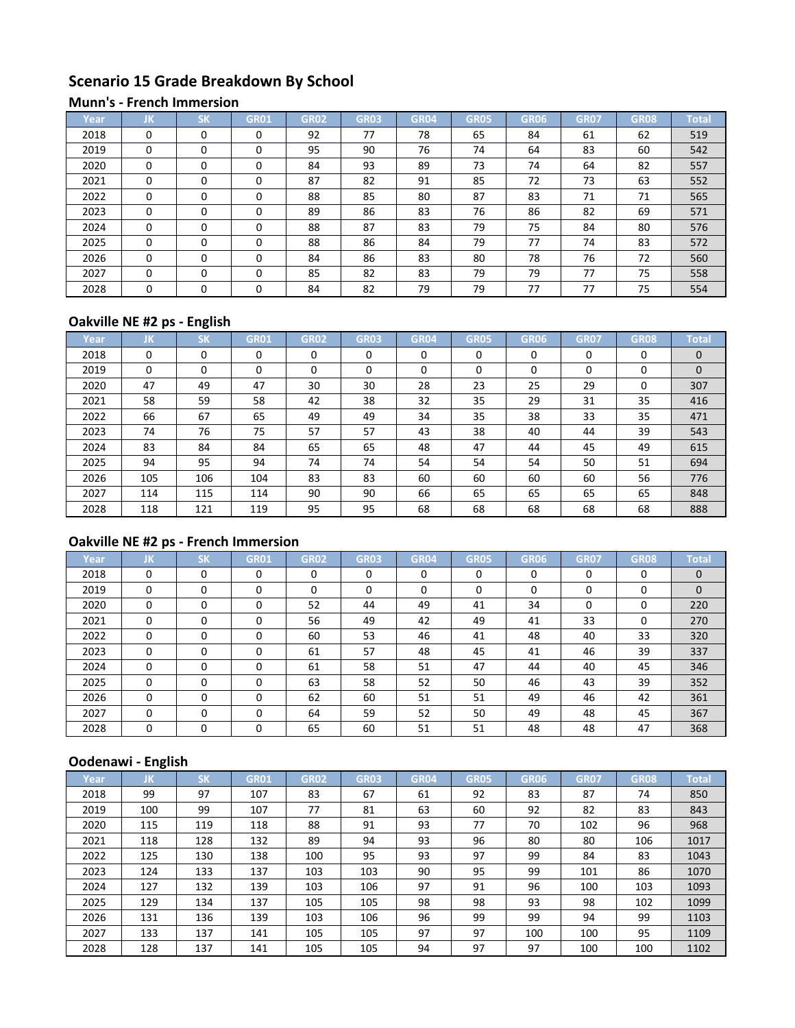# **Scenario 15 Grade Breakdown By School**

#### **Munn's - French Immersion**

| Year | JK       | <b>SK</b> | GR01     | <b>GR02</b> | <b>GR03</b> | <b>GR04</b> | <b>GR05</b> | GR06 | <b>GR07</b> | <b>GR08</b> | <b>Total</b> |
|------|----------|-----------|----------|-------------|-------------|-------------|-------------|------|-------------|-------------|--------------|
| 2018 | $\Omega$ | $\Omega$  | 0        | 92          | 77          | 78          | 65          | 84   | 61          | 62          | 519          |
| 2019 | $\Omega$ | $\Omega$  | $\Omega$ | 95          | 90          | 76          | 74          | 64   | 83          | 60          | 542          |
| 2020 | $\Omega$ | $\Omega$  | 0        | 84          | 93          | 89          | 73          | 74   | 64          | 82          | 557          |
| 2021 | $\Omega$ | $\Omega$  | 0        | 87          | 82          | 91          | 85          | 72   | 73          | 63          | 552          |
| 2022 | $\Omega$ | $\Omega$  | $\Omega$ | 88          | 85          | 80          | 87          | 83   | 71          | 71          | 565          |
| 2023 | $\Omega$ | $\Omega$  | 0        | 89          | 86          | 83          | 76          | 86   | 82          | 69          | 571          |
| 2024 | $\Omega$ | $\Omega$  | 0        | 88          | 87          | 83          | 79          | 75   | 84          | 80          | 576          |
| 2025 | $\Omega$ | $\Omega$  | $\Omega$ | 88          | 86          | 84          | 79          | 77   | 74          | 83          | 572          |
| 2026 | $\Omega$ | $\Omega$  | $\Omega$ | 84          | 86          | 83          | 80          | 78   | 76          | 72          | 560          |
| 2027 | $\Omega$ | $\Omega$  | 0        | 85          | 82          | 83          | 79          | 79   | 77          | 75          | 558          |
| 2028 | $\Omega$ | $\Omega$  | $\Omega$ | 84          | 82          | 79          | 79          | 77   | 77          | 75          | 554          |

## **Oakville NE #2 ps - English**

| Year | IJΚ.     | <b>SK</b> | <b>GR01</b> | <b>GR02</b> | <b>GR03</b> | GR04 | <b>GR05</b> | GR06 | <b>GR07</b> | <b>GR08</b> | <b>Total</b> |
|------|----------|-----------|-------------|-------------|-------------|------|-------------|------|-------------|-------------|--------------|
| 2018 | $\Omega$ | 0         | 0           | 0           | $\Omega$    | 0    | $\Omega$    | 0    | 0           | 0           | $\mathbf{0}$ |
| 2019 | 0        | 0         | 0           | 0           | 0           | 0    | 0           | 0    | 0           | 0           | $\mathbf 0$  |
| 2020 | 47       | 49        | 47          | 30          | 30          | 28   | 23          | 25   | 29          | 0           | 307          |
| 2021 | 58       | 59        | 58          | 42          | 38          | 32   | 35          | 29   | 31          | 35          | 416          |
| 2022 | 66       | 67        | 65          | 49          | 49          | 34   | 35          | 38   | 33          | 35          | 471          |
| 2023 | 74       | 76        | 75          | 57          | 57          | 43   | 38          | 40   | 44          | 39          | 543          |
| 2024 | 83       | 84        | 84          | 65          | 65          | 48   | 47          | 44   | 45          | 49          | 615          |
| 2025 | 94       | 95        | 94          | 74          | 74          | 54   | 54          | 54   | 50          | 51          | 694          |
| 2026 | 105      | 106       | 104         | 83          | 83          | 60   | 60          | 60   | 60          | 56          | 776          |
| 2027 | 114      | 115       | 114         | 90          | 90          | 66   | 65          | 65   | 65          | 65          | 848          |
| 2028 | 118      | 121       | 119         | 95          | 95          | 68   | 68          | 68   | 68          | 68          | 888          |

## **Oakville NE #2 ps - French Immersion**

| Year | JK       | <b>SK</b> | <b>GR01</b> | GR02 | <b>GR03</b> | <b>GR04</b> | <b>GR05</b> | GR06 | <b>GR07</b> | <b>GR08</b> | <b>Total</b> |
|------|----------|-----------|-------------|------|-------------|-------------|-------------|------|-------------|-------------|--------------|
| 2018 | 0        | $\Omega$  | $\Omega$    | 0    | 0           | $\Omega$    | $\Omega$    | 0    | $\Omega$    | $\Omega$    | $\mathbf{0}$ |
| 2019 | 0        | 0         | 0           | 0    | 0           | 0           | $\Omega$    | 0    | 0           | 0           | $\Omega$     |
| 2020 | $\Omega$ | $\Omega$  | $\Omega$    | 52   | 44          | 49          | 41          | 34   | $\Omega$    | $\Omega$    | 220          |
| 2021 | $\Omega$ | 0         | O           | 56   | 49          | 42          | 49          | 41   | 33          | 0           | 270          |
| 2022 | 0        | 0         | O           | 60   | 53          | 46          | 41          | 48   | 40          | 33          | 320          |
| 2023 | $\Omega$ | $\Omega$  | 0           | 61   | 57          | 48          | 45          | 41   | 46          | 39          | 337          |
| 2024 | $\Omega$ | $\Omega$  | $\Omega$    | 61   | 58          | 51          | 47          | 44   | 40          | 45          | 346          |
| 2025 | $\Omega$ | $\Omega$  | $\Omega$    | 63   | 58          | 52          | 50          | 46   | 43          | 39          | 352          |
| 2026 | $\Omega$ | 0         | 0           | 62   | 60          | 51          | 51          | 49   | 46          | 42          | 361          |
| 2027 | $\Omega$ | $\Omega$  | $\Omega$    | 64   | 59          | 52          | 50          | 49   | 48          | 45          | 367          |
| 2028 | $\Omega$ | 0         | $\Omega$    | 65   | 60          | 51          | 51          | 48   | 48          | 47          | 368          |

| Year | JK  | <b>SK</b> | <b>GR01</b> | <b>GR02</b> | <b>GR03</b> | <b>GR04</b> | <b>GR05</b> | GR06 | <b>GR07</b> | <b>GR08</b> | <b>Total</b> |
|------|-----|-----------|-------------|-------------|-------------|-------------|-------------|------|-------------|-------------|--------------|
| 2018 | 99  | 97        | 107         | 83          | 67          | 61          | 92          | 83   | 87          | 74          | 850          |
| 2019 | 100 | 99        | 107         | 77          | 81          | 63          | 60          | 92   | 82          | 83          | 843          |
| 2020 | 115 | 119       | 118         | 88          | 91          | 93          | 77          | 70   | 102         | 96          | 968          |
| 2021 | 118 | 128       | 132         | 89          | 94          | 93          | 96          | 80   | 80          | 106         | 1017         |
| 2022 | 125 | 130       | 138         | 100         | 95          | 93          | 97          | 99   | 84          | 83          | 1043         |
| 2023 | 124 | 133       | 137         | 103         | 103         | 90          | 95          | 99   | 101         | 86          | 1070         |
| 2024 | 127 | 132       | 139         | 103         | 106         | 97          | 91          | 96   | 100         | 103         | 1093         |
| 2025 | 129 | 134       | 137         | 105         | 105         | 98          | 98          | 93   | 98          | 102         | 1099         |
| 2026 | 131 | 136       | 139         | 103         | 106         | 96          | 99          | 99   | 94          | 99          | 1103         |
| 2027 | 133 | 137       | 141         | 105         | 105         | 97          | 97          | 100  | 100         | 95          | 1109         |
| 2028 | 128 | 137       | 141         | 105         | 105         | 94          | 97          | 97   | 100         | 100         | 1102         |